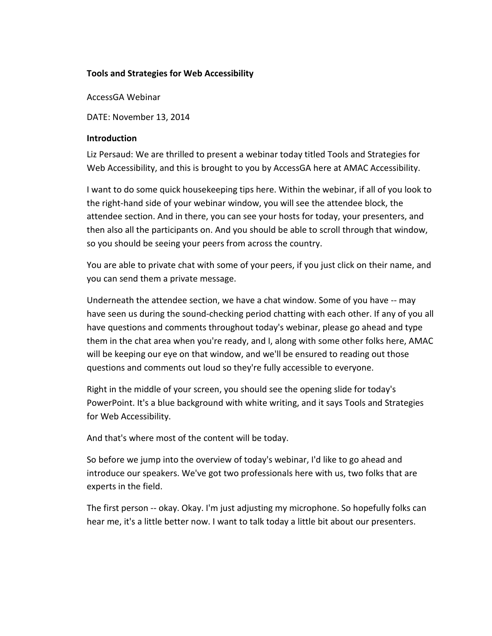### **Tools and Strategies for Web Accessibility**

AccessGA Webinar

DATE: November 13, 2014

#### **Introduction**

Liz Persaud: We are thrilled to present a webinar today titled Tools and Strategies for Web Accessibility, and this is brought to you by AccessGA here at AMAC Accessibility.

I want to do some quick housekeeping tips here. Within the webinar, if all of you look to the right-hand side of your webinar window, you will see the attendee block, the attendee section. And in there, you can see your hosts for today, your presenters, and then also all the participants on. And you should be able to scroll through that window, so you should be seeing your peers from across the country.

You are able to private chat with some of your peers, if you just click on their name, and you can send them a private message.

Underneath the attendee section, we have a chat window. Some of you have -- may have seen us during the sound-checking period chatting with each other. If any of you all have questions and comments throughout today's webinar, please go ahead and type them in the chat area when you're ready, and I, along with some other folks here, AMAC will be keeping our eye on that window, and we'll be ensured to reading out those questions and comments out loud so they're fully accessible to everyone.

Right in the middle of your screen, you should see the opening slide for today's PowerPoint. It's a blue background with white writing, and it says Tools and Strategies for Web Accessibility.

And that's where most of the content will be today.

So before we jump into the overview of today's webinar, I'd like to go ahead and introduce our speakers. We've got two professionals here with us, two folks that are experts in the field.

The first person -- okay. Okay. I'm just adjusting my microphone. So hopefully folks can hear me, it's a little better now. I want to talk today a little bit about our presenters.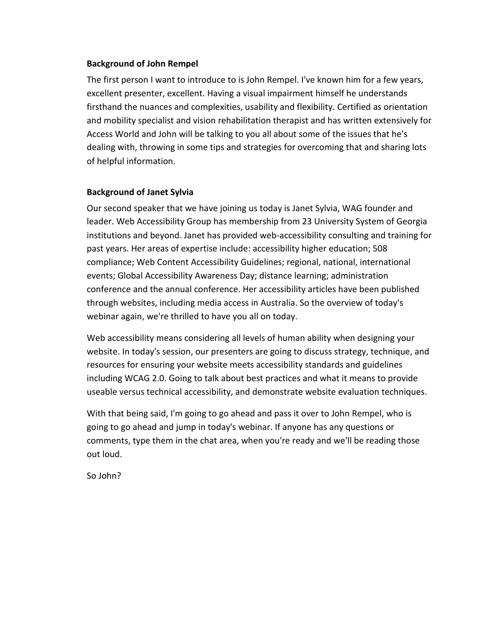#### **Background of John Rempel**

The first person I want to introduce to is John Rempel. I've known him for a few years, excellent presenter, excellent. Having a visual impairment himself he understands firsthand the nuances and complexities, usability and flexibility. Certified as orientation and mobility specialist and vision rehabilitation therapist and has written extensively for Access World and John will be talking to you all about some of the issues that he's dealing with, throwing in some tips and strategies for overcoming that and sharing lots of helpful information.

### **Background of Janet Sylvia**

Our second speaker that we have joining us today is Janet Sylvia, WAG founder and leader. Web Accessibility Group has membership from 23 University System of Georgia institutions and beyond. Janet has provided web-accessibility consulting and training for past years. Her areas of expertise include: accessibility higher education; 508 compliance; Web Content Accessibility Guidelines; regional, national, international events; Global Accessibility Awareness Day; distance learning; administration conference and the annual conference. Her accessibility articles have been published through websites, including media access in Australia. So the overview of today's webinar again, we're thrilled to have you all on today.

Web accessibility means considering all levels of human ability when designing your website. In today's session, our presenters are going to discuss strategy, technique, and resources for ensuring your website meets accessibility standards and guidelines including WCAG 2.0. Going to talk about best practices and what it means to provide useable versus technical accessibility, and demonstrate website evaluation techniques.

With that being said, I'm going to go ahead and pass it over to John Rempel, who is going to go ahead and jump in today's webinar. If anyone has any questions or comments, type them in the chat area, when you're ready and we'll be reading those out loud.

So John?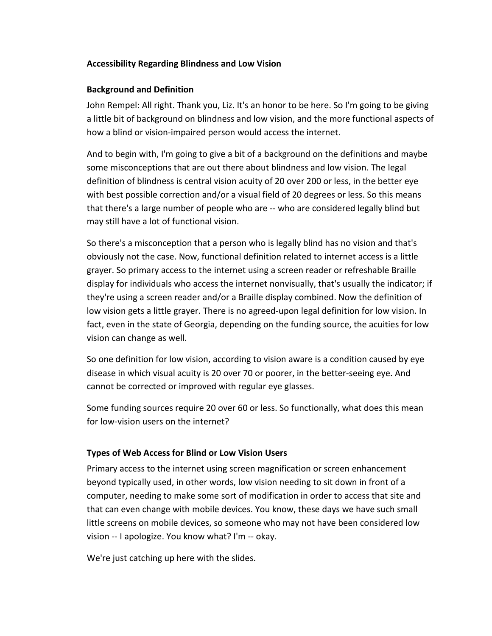### **Accessibility Regarding Blindness and Low Vision**

### **Background and Definition**

John Rempel: All right. Thank you, Liz. It's an honor to be here. So I'm going to be giving a little bit of background on blindness and low vision, and the more functional aspects of how a blind or vision-impaired person would access the internet.

And to begin with, I'm going to give a bit of a background on the definitions and maybe some misconceptions that are out there about blindness and low vision. The legal definition of blindness is central vision acuity of 20 over 200 or less, in the better eye with best possible correction and/or a visual field of 20 degrees or less. So this means that there's a large number of people who are -- who are considered legally blind but may still have a lot of functional vision.

So there's a misconception that a person who is legally blind has no vision and that's obviously not the case. Now, functional definition related to internet access is a little grayer. So primary access to the internet using a screen reader or refreshable Braille display for individuals who access the internet nonvisually, that's usually the indicator; if they're using a screen reader and/or a Braille display combined. Now the definition of low vision gets a little grayer. There is no agreed-upon legal definition for low vision. In fact, even in the state of Georgia, depending on the funding source, the acuities for low vision can change as well.

So one definition for low vision, according to vision aware is a condition caused by eye disease in which visual acuity is 20 over 70 or poorer, in the better-seeing eye. And cannot be corrected or improved with regular eye glasses.

Some funding sources require 20 over 60 or less. So functionally, what does this mean for low-vision users on the internet?

# **Types of Web Access for Blind or Low Vision Users**

Primary access to the internet using screen magnification or screen enhancement beyond typically used, in other words, low vision needing to sit down in front of a computer, needing to make some sort of modification in order to access that site and that can even change with mobile devices. You know, these days we have such small little screens on mobile devices, so someone who may not have been considered low vision -- I apologize. You know what? I'm -- okay.

We're just catching up here with the slides.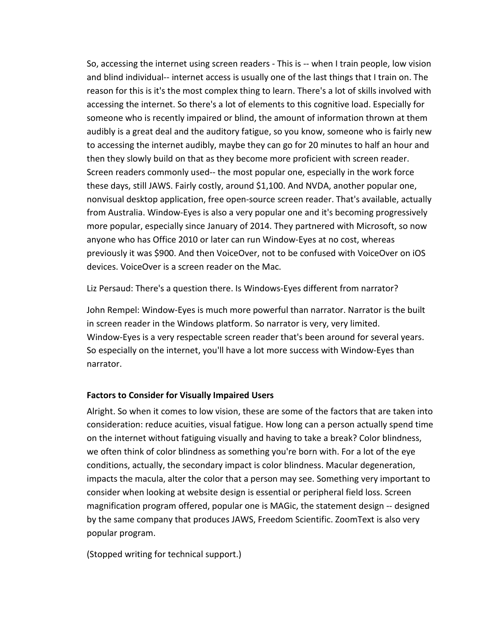So, accessing the internet using screen readers - This is -- when I train people, low vision and blind individual-- internet access is usually one of the last things that I train on. The reason for this is it's the most complex thing to learn. There's a lot of skills involved with accessing the internet. So there's a lot of elements to this cognitive load. Especially for someone who is recently impaired or blind, the amount of information thrown at them audibly is a great deal and the auditory fatigue, so you know, someone who is fairly new to accessing the internet audibly, maybe they can go for 20 minutes to half an hour and then they slowly build on that as they become more proficient with screen reader. Screen readers commonly used-- the most popular one, especially in the work force these days, still JAWS. Fairly costly, around \$1,100. And NVDA, another popular one, nonvisual desktop application, free open-source screen reader. That's available, actually from Australia. Window-Eyes is also a very popular one and it's becoming progressively more popular, especially since January of 2014. They partnered with Microsoft, so now anyone who has Office 2010 or later can run Window-Eyes at no cost, whereas previously it was \$900. And then VoiceOver, not to be confused with VoiceOver on iOS devices. VoiceOver is a screen reader on the Mac.

Liz Persaud: There's a question there. Is Windows-Eyes different from narrator?

John Rempel: Window-Eyes is much more powerful than narrator. Narrator is the built in screen reader in the Windows platform. So narrator is very, very limited. Window-Eyes is a very respectable screen reader that's been around for several years. So especially on the internet, you'll have a lot more success with Window-Eyes than narrator.

### **Factors to Consider for Visually Impaired Users**

Alright. So when it comes to low vision, these are some of the factors that are taken into consideration: reduce acuities, visual fatigue. How long can a person actually spend time on the internet without fatiguing visually and having to take a break? Color blindness, we often think of color blindness as something you're born with. For a lot of the eye conditions, actually, the secondary impact is color blindness. Macular degeneration, impacts the macula, alter the color that a person may see. Something very important to consider when looking at website design is essential or peripheral field loss. Screen magnification program offered, popular one is MAGic, the statement design -- designed by the same company that produces JAWS, Freedom Scientific. ZoomText is also very popular program.

(Stopped writing for technical support.)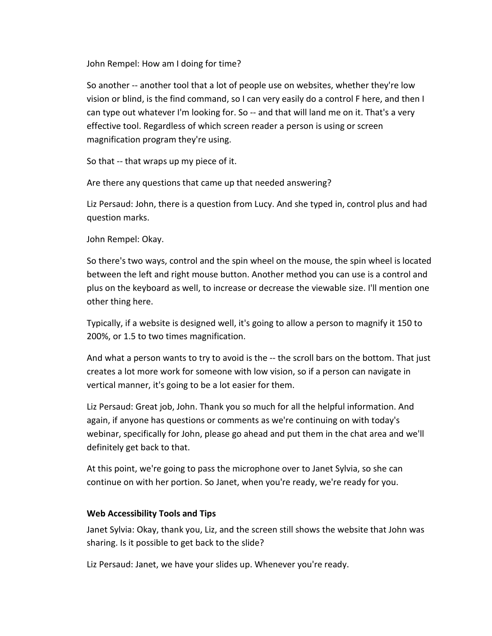John Rempel: How am I doing for time?

So another -- another tool that a lot of people use on websites, whether they're low vision or blind, is the find command, so I can very easily do a control F here, and then I can type out whatever I'm looking for. So -- and that will land me on it. That's a very effective tool. Regardless of which screen reader a person is using or screen magnification program they're using.

So that -- that wraps up my piece of it.

Are there any questions that came up that needed answering?

Liz Persaud: John, there is a question from Lucy. And she typed in, control plus and had question marks.

John Rempel: Okay.

So there's two ways, control and the spin wheel on the mouse, the spin wheel is located between the left and right mouse button. Another method you can use is a control and plus on the keyboard as well, to increase or decrease the viewable size. I'll mention one other thing here.

Typically, if a website is designed well, it's going to allow a person to magnify it 150 to 200%, or 1.5 to two times magnification.

And what a person wants to try to avoid is the -- the scroll bars on the bottom. That just creates a lot more work for someone with low vision, so if a person can navigate in vertical manner, it's going to be a lot easier for them.

Liz Persaud: Great job, John. Thank you so much for all the helpful information. And again, if anyone has questions or comments as we're continuing on with today's webinar, specifically for John, please go ahead and put them in the chat area and we'll definitely get back to that.

At this point, we're going to pass the microphone over to Janet Sylvia, so she can continue on with her portion. So Janet, when you're ready, we're ready for you.

### **Web Accessibility Tools and Tips**

Janet Sylvia: Okay, thank you, Liz, and the screen still shows the website that John was sharing. Is it possible to get back to the slide?

Liz Persaud: Janet, we have your slides up. Whenever you're ready.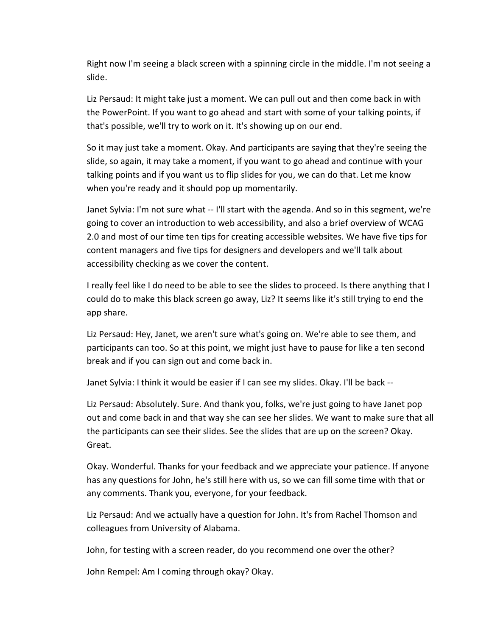Right now I'm seeing a black screen with a spinning circle in the middle. I'm not seeing a slide.

Liz Persaud: It might take just a moment. We can pull out and then come back in with the PowerPoint. If you want to go ahead and start with some of your talking points, if that's possible, we'll try to work on it. It's showing up on our end.

So it may just take a moment. Okay. And participants are saying that they're seeing the slide, so again, it may take a moment, if you want to go ahead and continue with your talking points and if you want us to flip slides for you, we can do that. Let me know when you're ready and it should pop up momentarily.

Janet Sylvia: I'm not sure what -- I'll start with the agenda. And so in this segment, we're going to cover an introduction to web accessibility, and also a brief overview of WCAG 2.0 and most of our time ten tips for creating accessible websites. We have five tips for content managers and five tips for designers and developers and we'll talk about accessibility checking as we cover the content.

I really feel like I do need to be able to see the slides to proceed. Is there anything that I could do to make this black screen go away, Liz? It seems like it's still trying to end the app share.

Liz Persaud: Hey, Janet, we aren't sure what's going on. We're able to see them, and participants can too. So at this point, we might just have to pause for like a ten second break and if you can sign out and come back in.

Janet Sylvia: I think it would be easier if I can see my slides. Okay. I'll be back --

Liz Persaud: Absolutely. Sure. And thank you, folks, we're just going to have Janet pop out and come back in and that way she can see her slides. We want to make sure that all the participants can see their slides. See the slides that are up on the screen? Okay. Great.

Okay. Wonderful. Thanks for your feedback and we appreciate your patience. If anyone has any questions for John, he's still here with us, so we can fill some time with that or any comments. Thank you, everyone, for your feedback.

Liz Persaud: And we actually have a question for John. It's from Rachel Thomson and colleagues from University of Alabama.

John, for testing with a screen reader, do you recommend one over the other?

John Rempel: Am I coming through okay? Okay.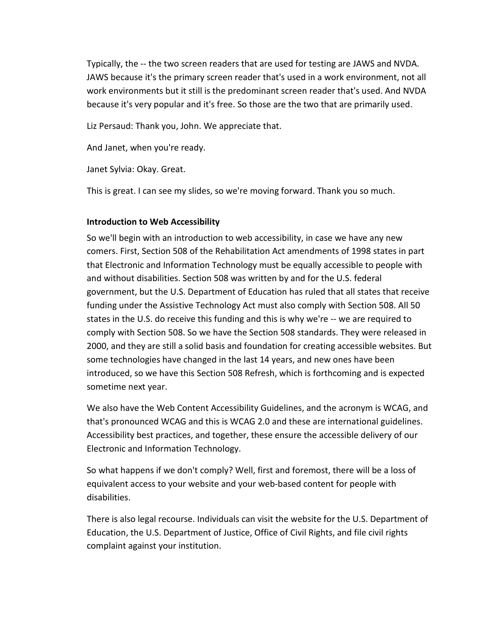Typically, the -- the two screen readers that are used for testing are JAWS and NVDA. JAWS because it's the primary screen reader that's used in a work environment, not all work environments but it still is the predominant screen reader that's used. And NVDA because it's very popular and it's free. So those are the two that are primarily used.

Liz Persaud: Thank you, John. We appreciate that.

And Janet, when you're ready.

Janet Sylvia: Okay. Great.

This is great. I can see my slides, so we're moving forward. Thank you so much.

## **Introduction to Web Accessibility**

So we'll begin with an introduction to web accessibility, in case we have any new comers. First, Section 508 of the Rehabilitation Act amendments of 1998 states in part that Electronic and Information Technology must be equally accessible to people with and without disabilities. Section 508 was written by and for the U.S. federal government, but the U.S. Department of Education has ruled that all states that receive funding under the Assistive Technology Act must also comply with Section 508. All 50 states in the U.S. do receive this funding and this is why we're -- we are required to comply with Section 508. So we have the Section 508 standards. They were released in 2000, and they are still a solid basis and foundation for creating accessible websites. But some technologies have changed in the last 14 years, and new ones have been introduced, so we have this Section 508 Refresh, which is forthcoming and is expected sometime next year.

We also have the Web Content Accessibility Guidelines, and the acronym is WCAG, and that's pronounced WCAG and this is WCAG 2.0 and these are international guidelines. Accessibility best practices, and together, these ensure the accessible delivery of our Electronic and Information Technology.

So what happens if we don't comply? Well, first and foremost, there will be a loss of equivalent access to your website and your web-based content for people with disabilities.

There is also legal recourse. Individuals can visit the website for the U.S. Department of Education, the U.S. Department of Justice, Office of Civil Rights, and file civil rights complaint against your institution.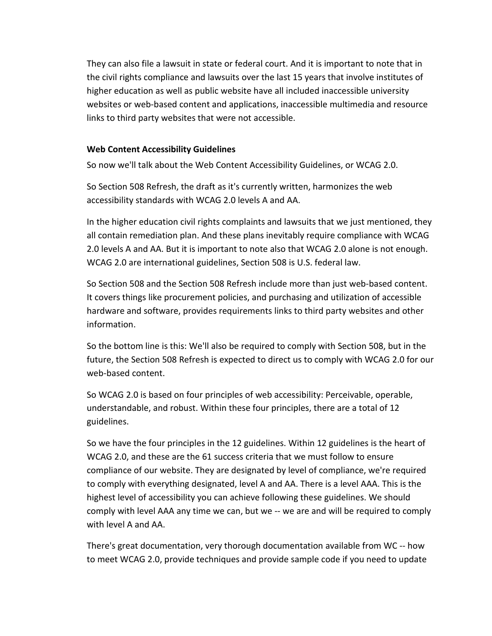They can also file a lawsuit in state or federal court. And it is important to note that in the civil rights compliance and lawsuits over the last 15 years that involve institutes of higher education as well as public website have all included inaccessible university websites or web-based content and applications, inaccessible multimedia and resource links to third party websites that were not accessible.

### **Web Content Accessibility Guidelines**

So now we'll talk about the Web Content Accessibility Guidelines, or WCAG 2.0.

So Section 508 Refresh, the draft as it's currently written, harmonizes the web accessibility standards with WCAG 2.0 levels A and AA.

In the higher education civil rights complaints and lawsuits that we just mentioned, they all contain remediation plan. And these plans inevitably require compliance with WCAG 2.0 levels A and AA. But it is important to note also that WCAG 2.0 alone is not enough. WCAG 2.0 are international guidelines, Section 508 is U.S. federal law.

So Section 508 and the Section 508 Refresh include more than just web-based content. It covers things like procurement policies, and purchasing and utilization of accessible hardware and software, provides requirements links to third party websites and other information.

So the bottom line is this: We'll also be required to comply with Section 508, but in the future, the Section 508 Refresh is expected to direct us to comply with WCAG 2.0 for our web-based content.

So WCAG 2.0 is based on four principles of web accessibility: Perceivable, operable, understandable, and robust. Within these four principles, there are a total of 12 guidelines.

So we have the four principles in the 12 guidelines. Within 12 guidelines is the heart of WCAG 2.0, and these are the 61 success criteria that we must follow to ensure compliance of our website. They are designated by level of compliance, we're required to comply with everything designated, level A and AA. There is a level AAA. This is the highest level of accessibility you can achieve following these guidelines. We should comply with level AAA any time we can, but we -- we are and will be required to comply with level A and AA.

There's great documentation, very thorough documentation available from WC -- how to meet WCAG 2.0, provide techniques and provide sample code if you need to update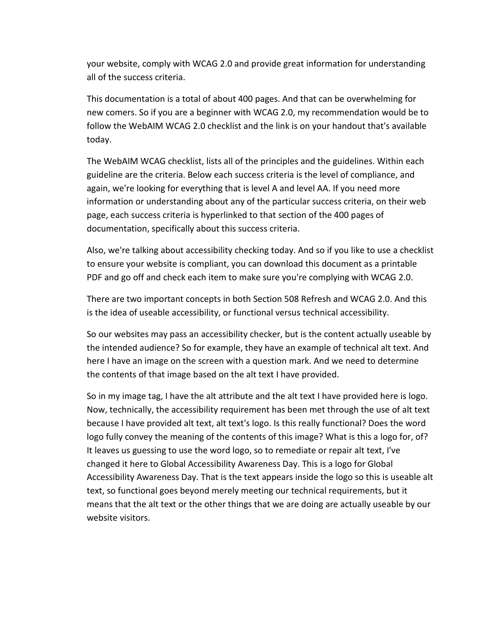your website, comply with WCAG 2.0 and provide great information for understanding all of the success criteria.

This documentation is a total of about 400 pages. And that can be overwhelming for new comers. So if you are a beginner with WCAG 2.0, my recommendation would be to follow the WebAIM WCAG 2.0 checklist and the link is on your handout that's available today.

The WebAIM WCAG checklist, lists all of the principles and the guidelines. Within each guideline are the criteria. Below each success criteria is the level of compliance, and again, we're looking for everything that is level A and level AA. If you need more information or understanding about any of the particular success criteria, on their web page, each success criteria is hyperlinked to that section of the 400 pages of documentation, specifically about this success criteria.

Also, we're talking about accessibility checking today. And so if you like to use a checklist to ensure your website is compliant, you can download this document as a printable PDF and go off and check each item to make sure you're complying with WCAG 2.0.

There are two important concepts in both Section 508 Refresh and WCAG 2.0. And this is the idea of useable accessibility, or functional versus technical accessibility.

So our websites may pass an accessibility checker, but is the content actually useable by the intended audience? So for example, they have an example of technical alt text. And here I have an image on the screen with a question mark. And we need to determine the contents of that image based on the alt text I have provided.

So in my image tag, I have the alt attribute and the alt text I have provided here is logo. Now, technically, the accessibility requirement has been met through the use of alt text because I have provided alt text, alt text's logo. Is this really functional? Does the word logo fully convey the meaning of the contents of this image? What is this a logo for, of? It leaves us guessing to use the word logo, so to remediate or repair alt text, I've changed it here to Global Accessibility Awareness Day. This is a logo for Global Accessibility Awareness Day. That is the text appears inside the logo so this is useable alt text, so functional goes beyond merely meeting our technical requirements, but it means that the alt text or the other things that we are doing are actually useable by our website visitors.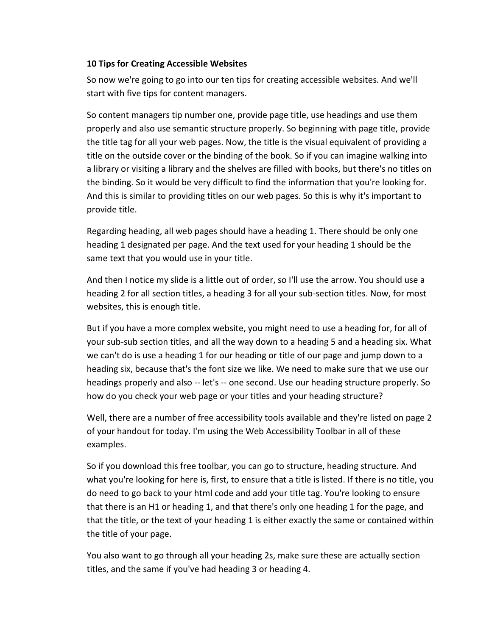## **10 Tips for Creating Accessible Websites**

So now we're going to go into our ten tips for creating accessible websites. And we'll start with five tips for content managers.

So content managers tip number one, provide page title, use headings and use them properly and also use semantic structure properly. So beginning with page title, provide the title tag for all your web pages. Now, the title is the visual equivalent of providing a title on the outside cover or the binding of the book. So if you can imagine walking into a library or visiting a library and the shelves are filled with books, but there's no titles on the binding. So it would be very difficult to find the information that you're looking for. And this is similar to providing titles on our web pages. So this is why it's important to provide title.

Regarding heading, all web pages should have a heading 1. There should be only one heading 1 designated per page. And the text used for your heading 1 should be the same text that you would use in your title.

And then I notice my slide is a little out of order, so I'll use the arrow. You should use a heading 2 for all section titles, a heading 3 for all your sub-section titles. Now, for most websites, this is enough title.

But if you have a more complex website, you might need to use a heading for, for all of your sub-sub section titles, and all the way down to a heading 5 and a heading six. What we can't do is use a heading 1 for our heading or title of our page and jump down to a heading six, because that's the font size we like. We need to make sure that we use our headings properly and also -- let's -- one second. Use our heading structure properly. So how do you check your web page or your titles and your heading structure?

Well, there are a number of free accessibility tools available and they're listed on page 2 of your handout for today. I'm using the Web Accessibility Toolbar in all of these examples.

So if you download this free toolbar, you can go to structure, heading structure. And what you're looking for here is, first, to ensure that a title is listed. If there is no title, you do need to go back to your html code and add your title tag. You're looking to ensure that there is an H1 or heading 1, and that there's only one heading 1 for the page, and that the title, or the text of your heading 1 is either exactly the same or contained within the title of your page.

You also want to go through all your heading 2s, make sure these are actually section titles, and the same if you've had heading 3 or heading 4.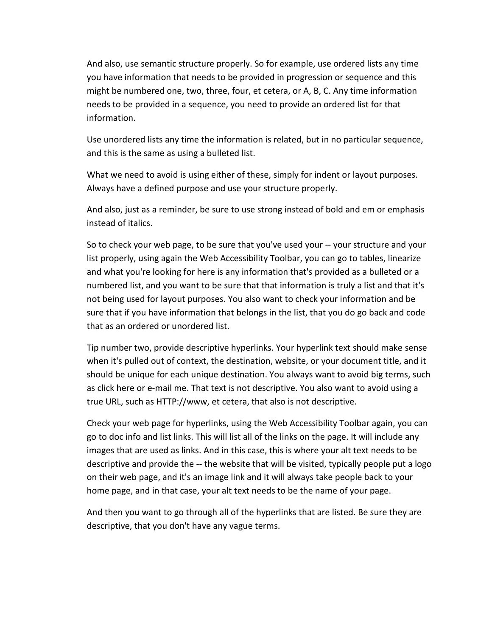And also, use semantic structure properly. So for example, use ordered lists any time you have information that needs to be provided in progression or sequence and this might be numbered one, two, three, four, et cetera, or A, B, C. Any time information needs to be provided in a sequence, you need to provide an ordered list for that information.

Use unordered lists any time the information is related, but in no particular sequence, and this is the same as using a bulleted list.

What we need to avoid is using either of these, simply for indent or layout purposes. Always have a defined purpose and use your structure properly.

And also, just as a reminder, be sure to use strong instead of bold and em or emphasis instead of italics.

So to check your web page, to be sure that you've used your -- your structure and your list properly, using again the Web Accessibility Toolbar, you can go to tables, linearize and what you're looking for here is any information that's provided as a bulleted or a numbered list, and you want to be sure that that information is truly a list and that it's not being used for layout purposes. You also want to check your information and be sure that if you have information that belongs in the list, that you do go back and code that as an ordered or unordered list.

Tip number two, provide descriptive hyperlinks. Your hyperlink text should make sense when it's pulled out of context, the destination, website, or your document title, and it should be unique for each unique destination. You always want to avoid big terms, such as click here or e-mail me. That text is not descriptive. You also want to avoid using a true URL, such as HTTP://www, et cetera, that also is not descriptive.

Check your web page for hyperlinks, using the Web Accessibility Toolbar again, you can go to doc info and list links. This will list all of the links on the page. It will include any images that are used as links. And in this case, this is where your alt text needs to be descriptive and provide the -- the website that will be visited, typically people put a logo on their web page, and it's an image link and it will always take people back to your home page, and in that case, your alt text needs to be the name of your page.

And then you want to go through all of the hyperlinks that are listed. Be sure they are descriptive, that you don't have any vague terms.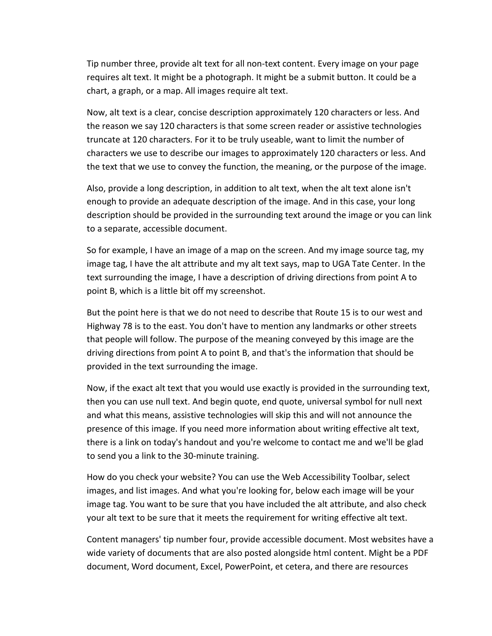Tip number three, provide alt text for all non-text content. Every image on your page requires alt text. It might be a photograph. It might be a submit button. It could be a chart, a graph, or a map. All images require alt text.

Now, alt text is a clear, concise description approximately 120 characters or less. And the reason we say 120 characters is that some screen reader or assistive technologies truncate at 120 characters. For it to be truly useable, want to limit the number of characters we use to describe our images to approximately 120 characters or less. And the text that we use to convey the function, the meaning, or the purpose of the image.

Also, provide a long description, in addition to alt text, when the alt text alone isn't enough to provide an adequate description of the image. And in this case, your long description should be provided in the surrounding text around the image or you can link to a separate, accessible document.

So for example, I have an image of a map on the screen. And my image source tag, my image tag, I have the alt attribute and my alt text says, map to UGA Tate Center. In the text surrounding the image, I have a description of driving directions from point A to point B, which is a little bit off my screenshot.

But the point here is that we do not need to describe that Route 15 is to our west and Highway 78 is to the east. You don't have to mention any landmarks or other streets that people will follow. The purpose of the meaning conveyed by this image are the driving directions from point A to point B, and that's the information that should be provided in the text surrounding the image.

Now, if the exact alt text that you would use exactly is provided in the surrounding text, then you can use null text. And begin quote, end quote, universal symbol for null next and what this means, assistive technologies will skip this and will not announce the presence of this image. If you need more information about writing effective alt text, there is a link on today's handout and you're welcome to contact me and we'll be glad to send you a link to the 30-minute training.

How do you check your website? You can use the Web Accessibility Toolbar, select images, and list images. And what you're looking for, below each image will be your image tag. You want to be sure that you have included the alt attribute, and also check your alt text to be sure that it meets the requirement for writing effective alt text.

Content managers' tip number four, provide accessible document. Most websites have a wide variety of documents that are also posted alongside html content. Might be a PDF document, Word document, Excel, PowerPoint, et cetera, and there are resources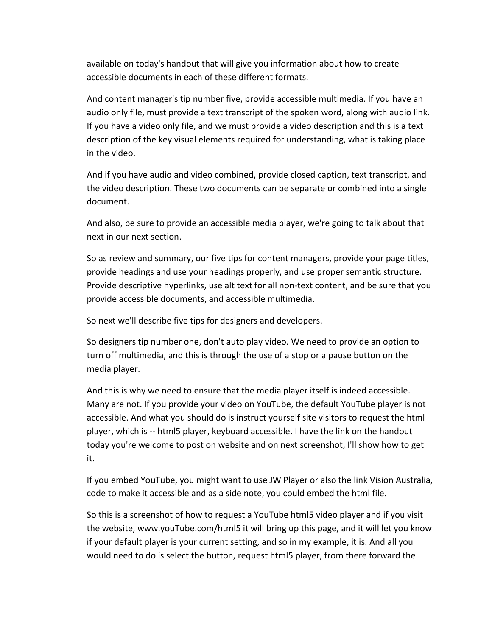available on today's handout that will give you information about how to create accessible documents in each of these different formats.

And content manager's tip number five, provide accessible multimedia. If you have an audio only file, must provide a text transcript of the spoken word, along with audio link. If you have a video only file, and we must provide a video description and this is a text description of the key visual elements required for understanding, what is taking place in the video.

And if you have audio and video combined, provide closed caption, text transcript, and the video description. These two documents can be separate or combined into a single document.

And also, be sure to provide an accessible media player, we're going to talk about that next in our next section.

So as review and summary, our five tips for content managers, provide your page titles, provide headings and use your headings properly, and use proper semantic structure. Provide descriptive hyperlinks, use alt text for all non-text content, and be sure that you provide accessible documents, and accessible multimedia.

So next we'll describe five tips for designers and developers.

So designers tip number one, don't auto play video. We need to provide an option to turn off multimedia, and this is through the use of a stop or a pause button on the media player.

And this is why we need to ensure that the media player itself is indeed accessible. Many are not. If you provide your video on YouTube, the default YouTube player is not accessible. And what you should do is instruct yourself site visitors to request the html player, which is -- html5 player, keyboard accessible. I have the link on the handout today you're welcome to post on website and on next screenshot, I'll show how to get it.

If you embed YouTube, you might want to use JW Player or also the link Vision Australia, code to make it accessible and as a side note, you could embed the html file.

So this is a screenshot of how to request a YouTube html5 video player and if you visit the website, www.youTube.com/html5 it will bring up this page, and it will let you know if your default player is your current setting, and so in my example, it is. And all you would need to do is select the button, request html5 player, from there forward the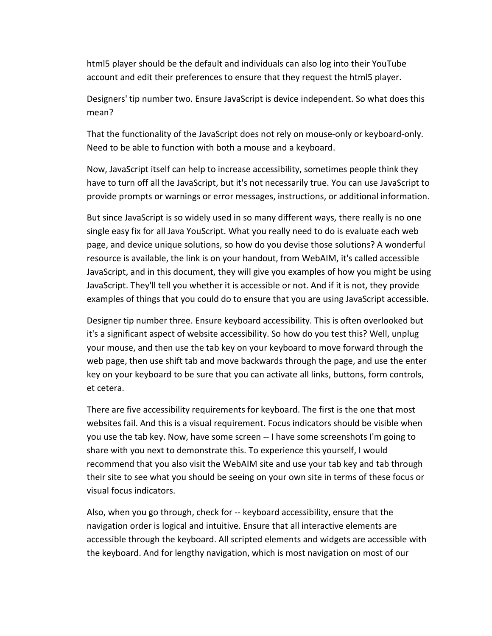html5 player should be the default and individuals can also log into their YouTube account and edit their preferences to ensure that they request the html5 player.

Designers' tip number two. Ensure JavaScript is device independent. So what does this mean?

That the functionality of the JavaScript does not rely on mouse-only or keyboard-only. Need to be able to function with both a mouse and a keyboard.

Now, JavaScript itself can help to increase accessibility, sometimes people think they have to turn off all the JavaScript, but it's not necessarily true. You can use JavaScript to provide prompts or warnings or error messages, instructions, or additional information.

But since JavaScript is so widely used in so many different ways, there really is no one single easy fix for all Java YouScript. What you really need to do is evaluate each web page, and device unique solutions, so how do you devise those solutions? A wonderful resource is available, the link is on your handout, from WebAIM, it's called accessible JavaScript, and in this document, they will give you examples of how you might be using JavaScript. They'll tell you whether it is accessible or not. And if it is not, they provide examples of things that you could do to ensure that you are using JavaScript accessible.

Designer tip number three. Ensure keyboard accessibility. This is often overlooked but it's a significant aspect of website accessibility. So how do you test this? Well, unplug your mouse, and then use the tab key on your keyboard to move forward through the web page, then use shift tab and move backwards through the page, and use the enter key on your keyboard to be sure that you can activate all links, buttons, form controls, et cetera.

There are five accessibility requirements for keyboard. The first is the one that most websites fail. And this is a visual requirement. Focus indicators should be visible when you use the tab key. Now, have some screen -- I have some screenshots I'm going to share with you next to demonstrate this. To experience this yourself, I would recommend that you also visit the WebAIM site and use your tab key and tab through their site to see what you should be seeing on your own site in terms of these focus or visual focus indicators.

Also, when you go through, check for -- keyboard accessibility, ensure that the navigation order is logical and intuitive. Ensure that all interactive elements are accessible through the keyboard. All scripted elements and widgets are accessible with the keyboard. And for lengthy navigation, which is most navigation on most of our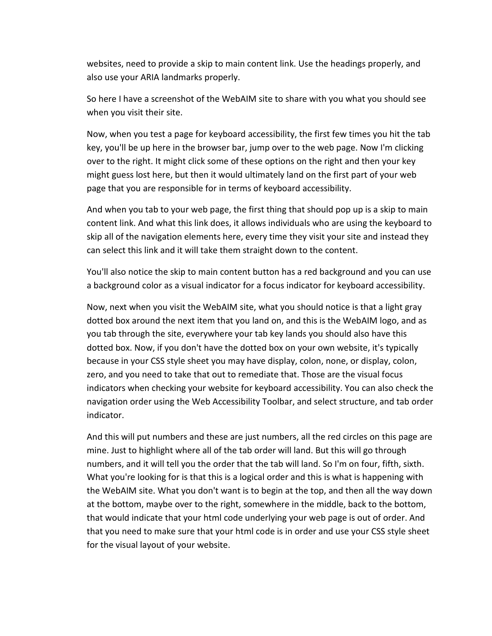websites, need to provide a skip to main content link. Use the headings properly, and also use your ARIA landmarks properly.

So here I have a screenshot of the WebAIM site to share with you what you should see when you visit their site.

Now, when you test a page for keyboard accessibility, the first few times you hit the tab key, you'll be up here in the browser bar, jump over to the web page. Now I'm clicking over to the right. It might click some of these options on the right and then your key might guess lost here, but then it would ultimately land on the first part of your web page that you are responsible for in terms of keyboard accessibility.

And when you tab to your web page, the first thing that should pop up is a skip to main content link. And what this link does, it allows individuals who are using the keyboard to skip all of the navigation elements here, every time they visit your site and instead they can select this link and it will take them straight down to the content.

You'll also notice the skip to main content button has a red background and you can use a background color as a visual indicator for a focus indicator for keyboard accessibility.

Now, next when you visit the WebAIM site, what you should notice is that a light gray dotted box around the next item that you land on, and this is the WebAIM logo, and as you tab through the site, everywhere your tab key lands you should also have this dotted box. Now, if you don't have the dotted box on your own website, it's typically because in your CSS style sheet you may have display, colon, none, or display, colon, zero, and you need to take that out to remediate that. Those are the visual focus indicators when checking your website for keyboard accessibility. You can also check the navigation order using the Web Accessibility Toolbar, and select structure, and tab order indicator.

And this will put numbers and these are just numbers, all the red circles on this page are mine. Just to highlight where all of the tab order will land. But this will go through numbers, and it will tell you the order that the tab will land. So I'm on four, fifth, sixth. What you're looking for is that this is a logical order and this is what is happening with the WebAIM site. What you don't want is to begin at the top, and then all the way down at the bottom, maybe over to the right, somewhere in the middle, back to the bottom, that would indicate that your html code underlying your web page is out of order. And that you need to make sure that your html code is in order and use your CSS style sheet for the visual layout of your website.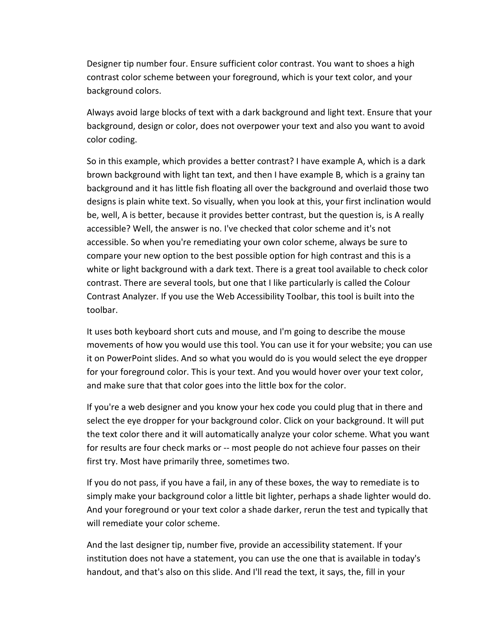Designer tip number four. Ensure sufficient color contrast. You want to shoes a high contrast color scheme between your foreground, which is your text color, and your background colors.

Always avoid large blocks of text with a dark background and light text. Ensure that your background, design or color, does not overpower your text and also you want to avoid color coding.

So in this example, which provides a better contrast? I have example A, which is a dark brown background with light tan text, and then I have example B, which is a grainy tan background and it has little fish floating all over the background and overlaid those two designs is plain white text. So visually, when you look at this, your first inclination would be, well, A is better, because it provides better contrast, but the question is, is A really accessible? Well, the answer is no. I've checked that color scheme and it's not accessible. So when you're remediating your own color scheme, always be sure to compare your new option to the best possible option for high contrast and this is a white or light background with a dark text. There is a great tool available to check color contrast. There are several tools, but one that I like particularly is called the Colour Contrast Analyzer. If you use the Web Accessibility Toolbar, this tool is built into the toolbar.

It uses both keyboard short cuts and mouse, and I'm going to describe the mouse movements of how you would use this tool. You can use it for your website; you can use it on PowerPoint slides. And so what you would do is you would select the eye dropper for your foreground color. This is your text. And you would hover over your text color, and make sure that that color goes into the little box for the color.

If you're a web designer and you know your hex code you could plug that in there and select the eye dropper for your background color. Click on your background. It will put the text color there and it will automatically analyze your color scheme. What you want for results are four check marks or -- most people do not achieve four passes on their first try. Most have primarily three, sometimes two.

If you do not pass, if you have a fail, in any of these boxes, the way to remediate is to simply make your background color a little bit lighter, perhaps a shade lighter would do. And your foreground or your text color a shade darker, rerun the test and typically that will remediate your color scheme.

And the last designer tip, number five, provide an accessibility statement. If your institution does not have a statement, you can use the one that is available in today's handout, and that's also on this slide. And I'll read the text, it says, the, fill in your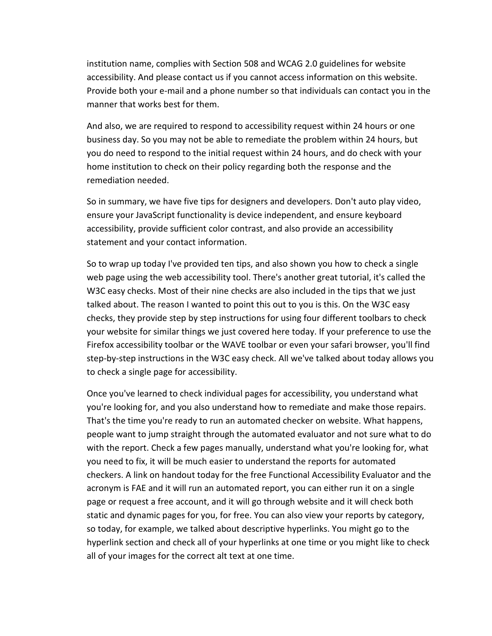institution name, complies with Section 508 and WCAG 2.0 guidelines for website accessibility. And please contact us if you cannot access information on this website. Provide both your e-mail and a phone number so that individuals can contact you in the manner that works best for them.

And also, we are required to respond to accessibility request within 24 hours or one business day. So you may not be able to remediate the problem within 24 hours, but you do need to respond to the initial request within 24 hours, and do check with your home institution to check on their policy regarding both the response and the remediation needed.

So in summary, we have five tips for designers and developers. Don't auto play video, ensure your JavaScript functionality is device independent, and ensure keyboard accessibility, provide sufficient color contrast, and also provide an accessibility statement and your contact information.

So to wrap up today I've provided ten tips, and also shown you how to check a single web page using the web accessibility tool. There's another great tutorial, it's called the W3C easy checks. Most of their nine checks are also included in the tips that we just talked about. The reason I wanted to point this out to you is this. On the W3C easy checks, they provide step by step instructions for using four different toolbars to check your website for similar things we just covered here today. If your preference to use the Firefox accessibility toolbar or the WAVE toolbar or even your safari browser, you'll find step-by-step instructions in the W3C easy check. All we've talked about today allows you to check a single page for accessibility.

Once you've learned to check individual pages for accessibility, you understand what you're looking for, and you also understand how to remediate and make those repairs. That's the time you're ready to run an automated checker on website. What happens, people want to jump straight through the automated evaluator and not sure what to do with the report. Check a few pages manually, understand what you're looking for, what you need to fix, it will be much easier to understand the reports for automated checkers. A link on handout today for the free Functional Accessibility Evaluator and the acronym is FAE and it will run an automated report, you can either run it on a single page or request a free account, and it will go through website and it will check both static and dynamic pages for you, for free. You can also view your reports by category, so today, for example, we talked about descriptive hyperlinks. You might go to the hyperlink section and check all of your hyperlinks at one time or you might like to check all of your images for the correct alt text at one time.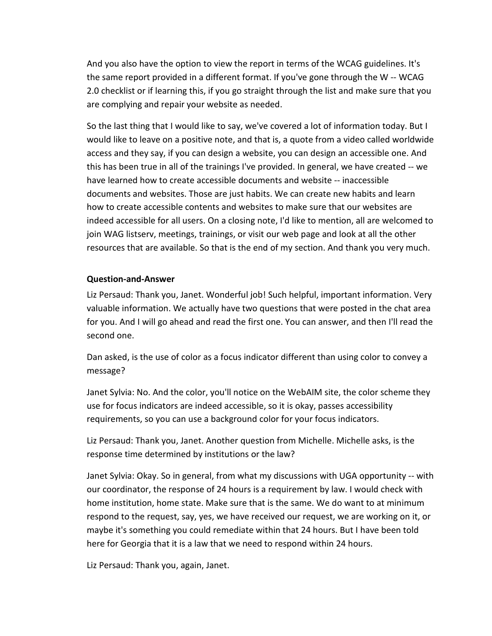And you also have the option to view the report in terms of the WCAG guidelines. It's the same report provided in a different format. If you've gone through the W -- WCAG 2.0 checklist or if learning this, if you go straight through the list and make sure that you are complying and repair your website as needed.

So the last thing that I would like to say, we've covered a lot of information today. But I would like to leave on a positive note, and that is, a quote from a video called worldwide access and they say, if you can design a website, you can design an accessible one. And this has been true in all of the trainings I've provided. In general, we have created -- we have learned how to create accessible documents and website -- inaccessible documents and websites. Those are just habits. We can create new habits and learn how to create accessible contents and websites to make sure that our websites are indeed accessible for all users. On a closing note, I'd like to mention, all are welcomed to join WAG listserv, meetings, trainings, or visit our web page and look at all the other resources that are available. So that is the end of my section. And thank you very much.

### **Question-and-Answer**

Liz Persaud: Thank you, Janet. Wonderful job! Such helpful, important information. Very valuable information. We actually have two questions that were posted in the chat area for you. And I will go ahead and read the first one. You can answer, and then I'll read the second one.

Dan asked, is the use of color as a focus indicator different than using color to convey a message?

Janet Sylvia: No. And the color, you'll notice on the WebAIM site, the color scheme they use for focus indicators are indeed accessible, so it is okay, passes accessibility requirements, so you can use a background color for your focus indicators.

Liz Persaud: Thank you, Janet. Another question from Michelle. Michelle asks, is the response time determined by institutions or the law?

Janet Sylvia: Okay. So in general, from what my discussions with UGA opportunity -- with our coordinator, the response of 24 hours is a requirement by law. I would check with home institution, home state. Make sure that is the same. We do want to at minimum respond to the request, say, yes, we have received our request, we are working on it, or maybe it's something you could remediate within that 24 hours. But I have been told here for Georgia that it is a law that we need to respond within 24 hours.

Liz Persaud: Thank you, again, Janet.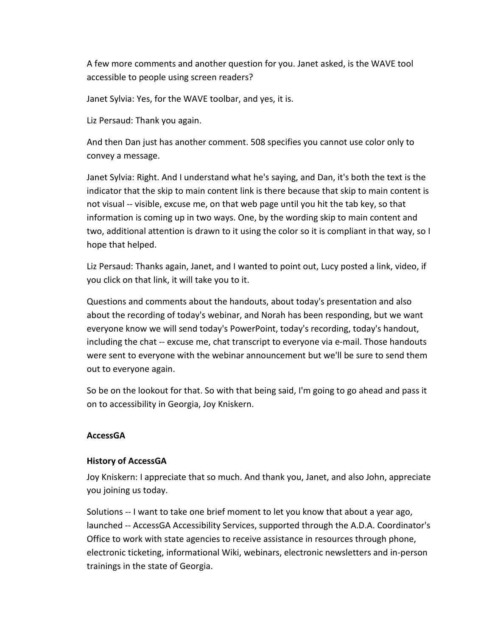A few more comments and another question for you. Janet asked, is the WAVE tool accessible to people using screen readers?

Janet Sylvia: Yes, for the WAVE toolbar, and yes, it is.

Liz Persaud: Thank you again.

And then Dan just has another comment. 508 specifies you cannot use color only to convey a message.

Janet Sylvia: Right. And I understand what he's saying, and Dan, it's both the text is the indicator that the skip to main content link is there because that skip to main content is not visual -- visible, excuse me, on that web page until you hit the tab key, so that information is coming up in two ways. One, by the wording skip to main content and two, additional attention is drawn to it using the color so it is compliant in that way, so I hope that helped.

Liz Persaud: Thanks again, Janet, and I wanted to point out, Lucy posted a link, video, if you click on that link, it will take you to it.

Questions and comments about the handouts, about today's presentation and also about the recording of today's webinar, and Norah has been responding, but we want everyone know we will send today's PowerPoint, today's recording, today's handout, including the chat -- excuse me, chat transcript to everyone via e-mail. Those handouts were sent to everyone with the webinar announcement but we'll be sure to send them out to everyone again.

So be on the lookout for that. So with that being said, I'm going to go ahead and pass it on to accessibility in Georgia, Joy Kniskern.

### **AccessGA**

#### **History of AccessGA**

Joy Kniskern: I appreciate that so much. And thank you, Janet, and also John, appreciate you joining us today.

Solutions -- I want to take one brief moment to let you know that about a year ago, launched -- AccessGA Accessibility Services, supported through the A.D.A. Coordinator's Office to work with state agencies to receive assistance in resources through phone, electronic ticketing, informational Wiki, webinars, electronic newsletters and in-person trainings in the state of Georgia.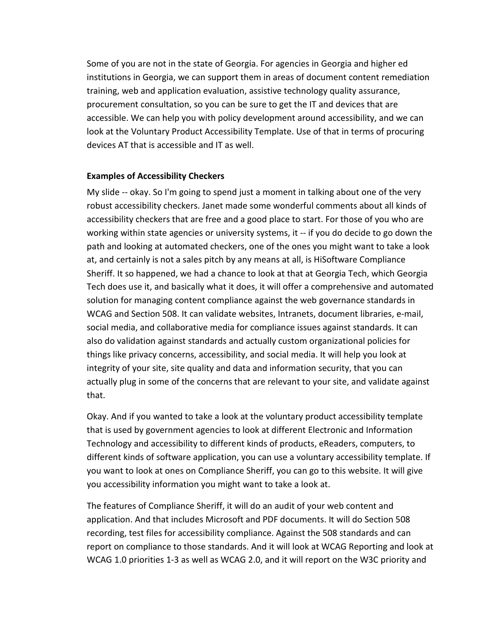Some of you are not in the state of Georgia. For agencies in Georgia and higher ed institutions in Georgia, we can support them in areas of document content remediation training, web and application evaluation, assistive technology quality assurance, procurement consultation, so you can be sure to get the IT and devices that are accessible. We can help you with policy development around accessibility, and we can look at the Voluntary Product Accessibility Template. Use of that in terms of procuring devices AT that is accessible and IT as well.

#### **Examples of Accessibility Checkers**

My slide -- okay. So I'm going to spend just a moment in talking about one of the very robust accessibility checkers. Janet made some wonderful comments about all kinds of accessibility checkers that are free and a good place to start. For those of you who are working within state agencies or university systems, it -- if you do decide to go down the path and looking at automated checkers, one of the ones you might want to take a look at, and certainly is not a sales pitch by any means at all, is HiSoftware Compliance Sheriff. It so happened, we had a chance to look at that at Georgia Tech, which Georgia Tech does use it, and basically what it does, it will offer a comprehensive and automated solution for managing content compliance against the web governance standards in WCAG and Section 508. It can validate websites, Intranets, document libraries, e-mail, social media, and collaborative media for compliance issues against standards. It can also do validation against standards and actually custom organizational policies for things like privacy concerns, accessibility, and social media. It will help you look at integrity of your site, site quality and data and information security, that you can actually plug in some of the concerns that are relevant to your site, and validate against that.

Okay. And if you wanted to take a look at the voluntary product accessibility template that is used by government agencies to look at different Electronic and Information Technology and accessibility to different kinds of products, eReaders, computers, to different kinds of software application, you can use a voluntary accessibility template. If you want to look at ones on Compliance Sheriff, you can go to this website. It will give you accessibility information you might want to take a look at.

The features of Compliance Sheriff, it will do an audit of your web content and application. And that includes Microsoft and PDF documents. It will do Section 508 recording, test files for accessibility compliance. Against the 508 standards and can report on compliance to those standards. And it will look at WCAG Reporting and look at WCAG 1.0 priorities 1-3 as well as WCAG 2.0, and it will report on the W3C priority and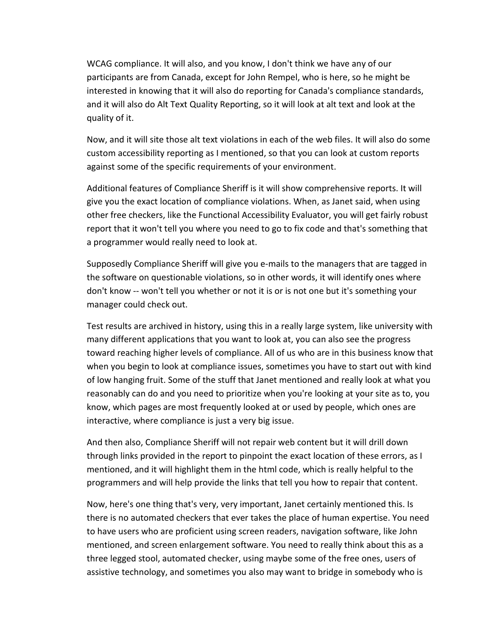WCAG compliance. It will also, and you know, I don't think we have any of our participants are from Canada, except for John Rempel, who is here, so he might be interested in knowing that it will also do reporting for Canada's compliance standards, and it will also do Alt Text Quality Reporting, so it will look at alt text and look at the quality of it.

Now, and it will site those alt text violations in each of the web files. It will also do some custom accessibility reporting as I mentioned, so that you can look at custom reports against some of the specific requirements of your environment.

Additional features of Compliance Sheriff is it will show comprehensive reports. It will give you the exact location of compliance violations. When, as Janet said, when using other free checkers, like the Functional Accessibility Evaluator, you will get fairly robust report that it won't tell you where you need to go to fix code and that's something that a programmer would really need to look at.

Supposedly Compliance Sheriff will give you e-mails to the managers that are tagged in the software on questionable violations, so in other words, it will identify ones where don't know -- won't tell you whether or not it is or is not one but it's something your manager could check out.

Test results are archived in history, using this in a really large system, like university with many different applications that you want to look at, you can also see the progress toward reaching higher levels of compliance. All of us who are in this business know that when you begin to look at compliance issues, sometimes you have to start out with kind of low hanging fruit. Some of the stuff that Janet mentioned and really look at what you reasonably can do and you need to prioritize when you're looking at your site as to, you know, which pages are most frequently looked at or used by people, which ones are interactive, where compliance is just a very big issue.

And then also, Compliance Sheriff will not repair web content but it will drill down through links provided in the report to pinpoint the exact location of these errors, as I mentioned, and it will highlight them in the html code, which is really helpful to the programmers and will help provide the links that tell you how to repair that content.

Now, here's one thing that's very, very important, Janet certainly mentioned this. Is there is no automated checkers that ever takes the place of human expertise. You need to have users who are proficient using screen readers, navigation software, like John mentioned, and screen enlargement software. You need to really think about this as a three legged stool, automated checker, using maybe some of the free ones, users of assistive technology, and sometimes you also may want to bridge in somebody who is